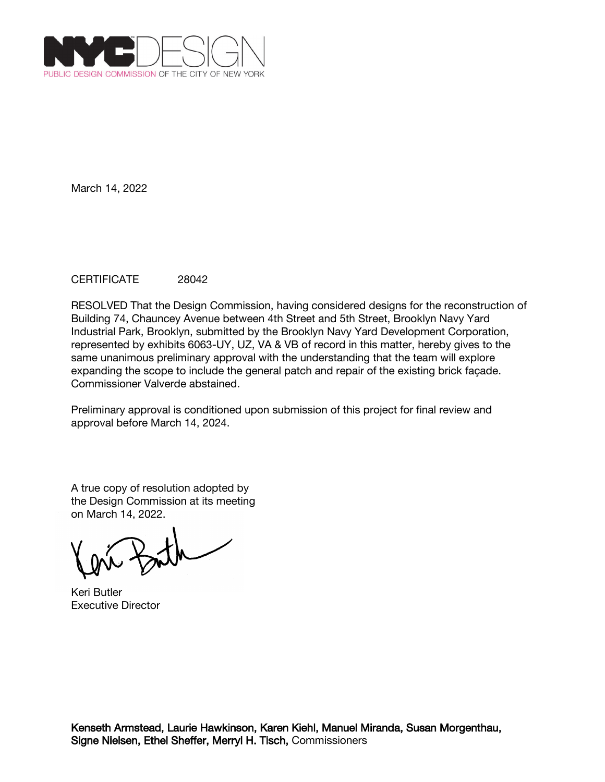

## CERTIFICATE 28042

RESOLVED That the Design Commission, having considered designs for the reconstruction of Building 74, Chauncey Avenue between 4th Street and 5th Street, Brooklyn Navy Yard Industrial Park, Brooklyn, submitted by the Brooklyn Navy Yard Development Corporation, represented by exhibits 6063-UY, UZ, VA & VB of record in this matter, hereby gives to the same unanimous preliminary approval with the understanding that the team will explore expanding the scope to include the general patch and repair of the existing brick façade. Commissioner Valverde abstained.

Preliminary approval is conditioned upon submission of this project for final review and approval before March 14, 2024.

Keri Butler Executive Director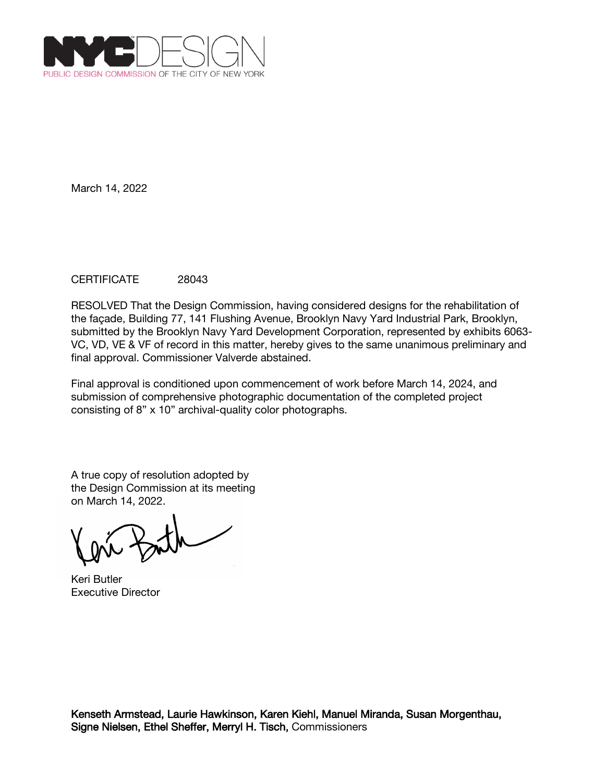

## CERTIFICATE 28043

RESOLVED That the Design Commission, having considered designs for the rehabilitation of the façade, Building 77, 141 Flushing Avenue, Brooklyn Navy Yard Industrial Park, Brooklyn, submitted by the Brooklyn Navy Yard Development Corporation, represented by exhibits 6063- VC, VD, VE & VF of record in this matter, hereby gives to the same unanimous preliminary and final approval. Commissioner Valverde abstained.

Final approval is conditioned upon commencement of work before March 14, 2024, and submission of comprehensive photographic documentation of the completed project consisting of 8" x 10" archival-quality color photographs.

Keri Butler Executive Director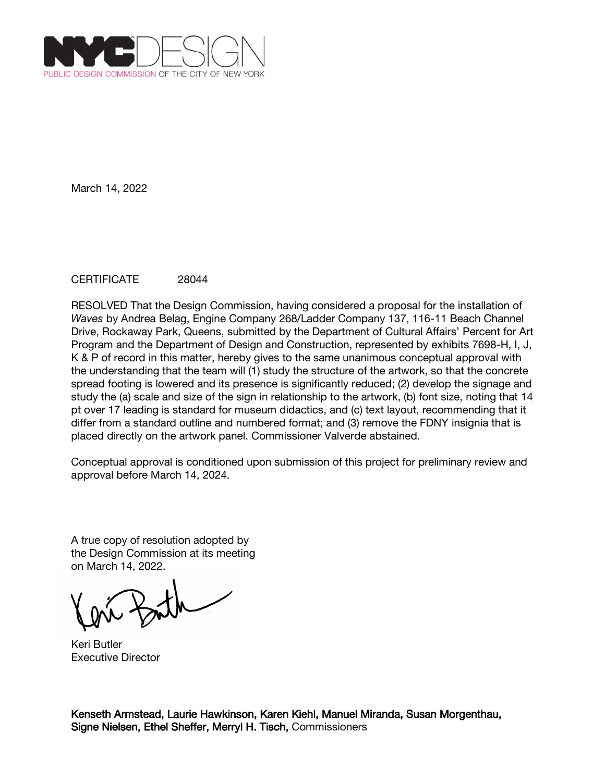

## CERTIFICATE 28044

RESOLVED That the Design Commission, having considered a proposal for the installation of *Waves* by Andrea Belag, Engine Company 268/Ladder Company 137, 116-11 Beach Channel Drive, Rockaway Park, Queens, submitted by the Department of Cultural Affairs' Percent for Art Program and the Department of Design and Construction, represented by exhibits 7698-H, I, J, K & P of record in this matter, hereby gives to the same unanimous conceptual approval with the understanding that the team will (1) study the structure of the artwork, so that the concrete spread footing is lowered and its presence is significantly reduced; (2) develop the signage and study the (a) scale and size of the sign in relationship to the artwork, (b) font size, noting that 14 pt over 17 leading is standard for museum didactics, and (c) text layout, recommending that it differ from a standard outline and numbered format; and (3) remove the FDNY insignia that is placed directly on the artwork panel. Commissioner Valverde abstained.

Conceptual approval is conditioned upon submission of this project for preliminary review and approval before March 14, 2024.

A true copy of resolution adopted by the Design Commission at its meeting on March 14, 2022.

Keri Butler Executive Director

Kenseth Armstead, Laurie Hawkinson, Karen Kiehl, Manuel Miranda, Susan Morgenthau, Signe Nielsen, Ethel Sheffer, Merryl H. Tisch, Commissioners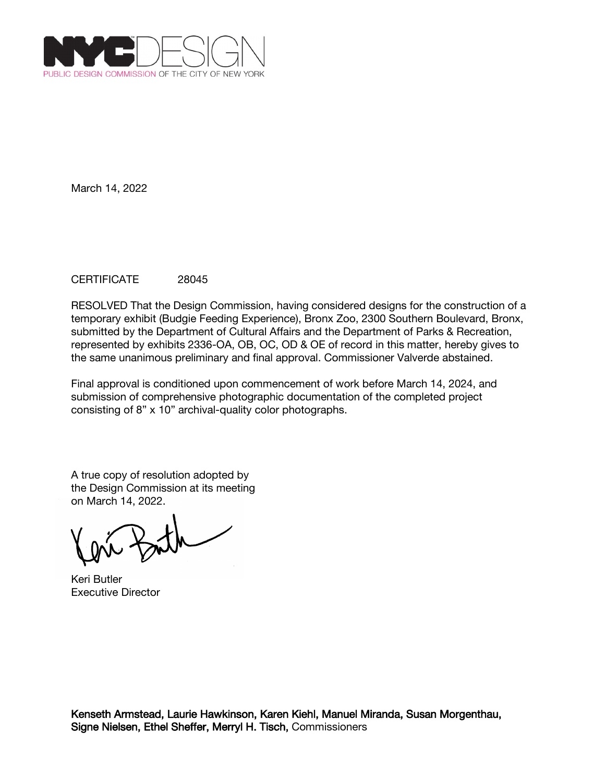

## CERTIFICATE 28045

RESOLVED That the Design Commission, having considered designs for the construction of a temporary exhibit (Budgie Feeding Experience), Bronx Zoo, 2300 Southern Boulevard, Bronx, submitted by the Department of Cultural Affairs and the Department of Parks & Recreation, represented by exhibits 2336-OA, OB, OC, OD & OE of record in this matter, hereby gives to the same unanimous preliminary and final approval. Commissioner Valverde abstained.

Final approval is conditioned upon commencement of work before March 14, 2024, and submission of comprehensive photographic documentation of the completed project consisting of 8" x 10" archival-quality color photographs.

Keri Butler Executive Director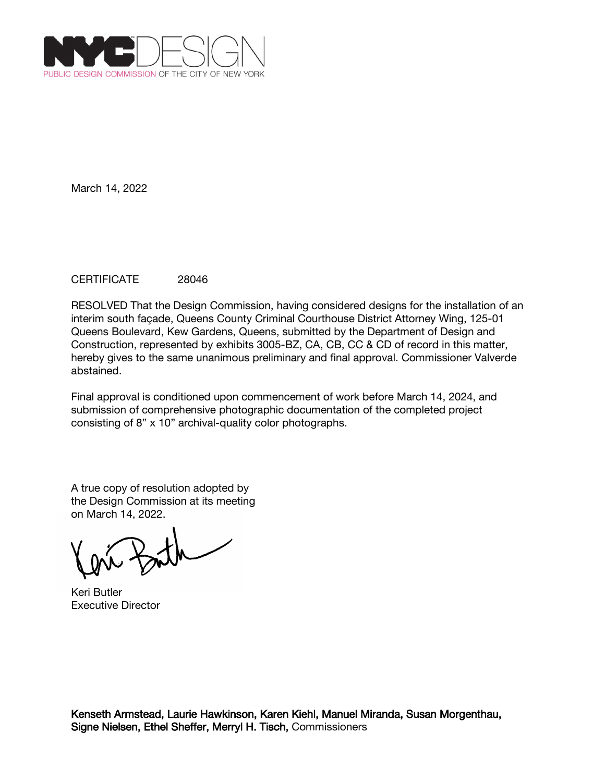

## CERTIFICATE 28046

RESOLVED That the Design Commission, having considered designs for the installation of an interim south façade, Queens County Criminal Courthouse District Attorney Wing, 125-01 Queens Boulevard, Kew Gardens, Queens, submitted by the Department of Design and Construction, represented by exhibits 3005-BZ, CA, CB, CC & CD of record in this matter, hereby gives to the same unanimous preliminary and final approval. Commissioner Valverde abstained.

Final approval is conditioned upon commencement of work before March 14, 2024, and submission of comprehensive photographic documentation of the completed project consisting of 8" x 10" archival-quality color photographs.

Keri Butler Executive Director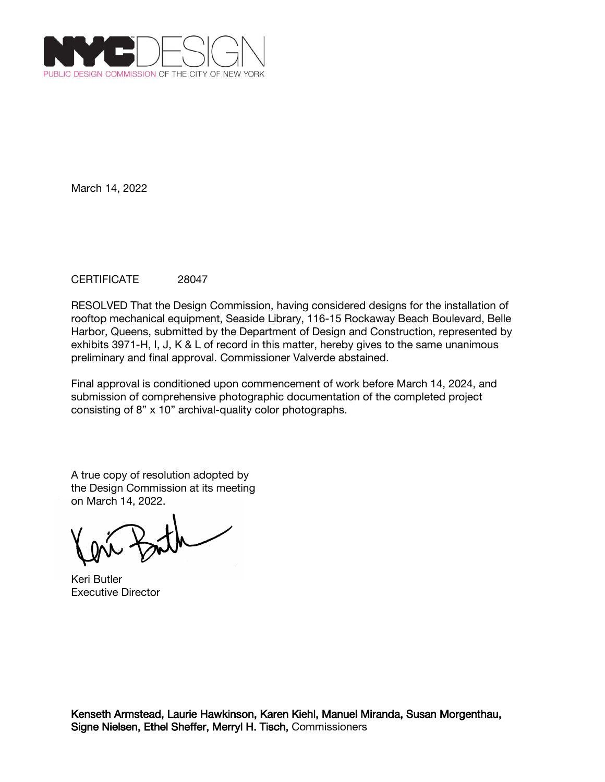

# CERTIFICATE 28047

RESOLVED That the Design Commission, having considered designs for the installation of rooftop mechanical equipment, Seaside Library, 116-15 Rockaway Beach Boulevard, Belle Harbor, Queens, submitted by the Department of Design and Construction, represented by exhibits 3971-H, I, J, K & L of record in this matter, hereby gives to the same unanimous preliminary and final approval. Commissioner Valverde abstained.

Final approval is conditioned upon commencement of work before March 14, 2024, and submission of comprehensive photographic documentation of the completed project consisting of 8" x 10" archival-quality color photographs.

Keri Butler Executive Director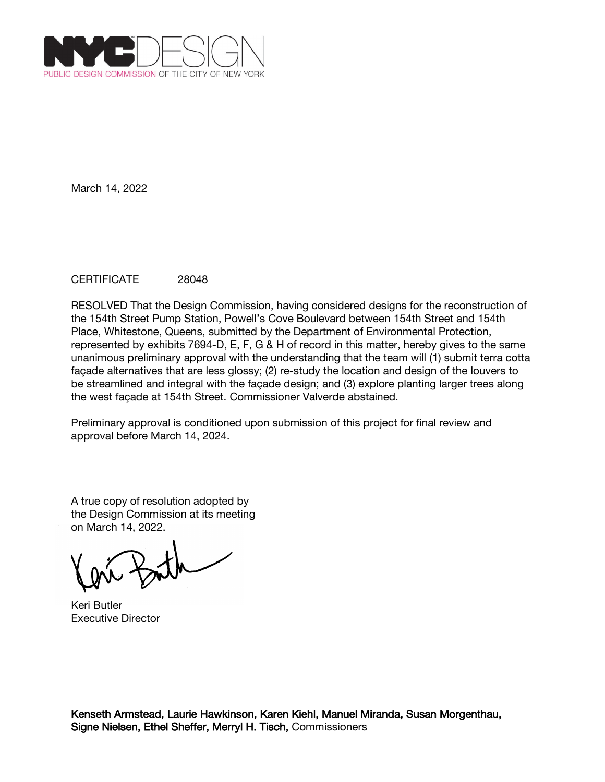

## CERTIFICATE 28048

RESOLVED That the Design Commission, having considered designs for the reconstruction of the 154th Street Pump Station, Powell's Cove Boulevard between 154th Street and 154th Place, Whitestone, Queens, submitted by the Department of Environmental Protection, represented by exhibits 7694-D, E, F, G & H of record in this matter, hereby gives to the same unanimous preliminary approval with the understanding that the team will (1) submit terra cotta façade alternatives that are less glossy; (2) re-study the location and design of the louvers to be streamlined and integral with the façade design; and (3) explore planting larger trees along the west façade at 154th Street. Commissioner Valverde abstained.

Preliminary approval is conditioned upon submission of this project for final review and approval before March 14, 2024.

A true copy of resolution adopted by the Design Commission at its meeting on March 14, 2022.

Keri Butler Executive Director

Kenseth Armstead, Laurie Hawkinson, Karen Kiehl, Manuel Miranda, Susan Morgenthau, Signe Nielsen, Ethel Sheffer, Merryl H. Tisch, Commissioners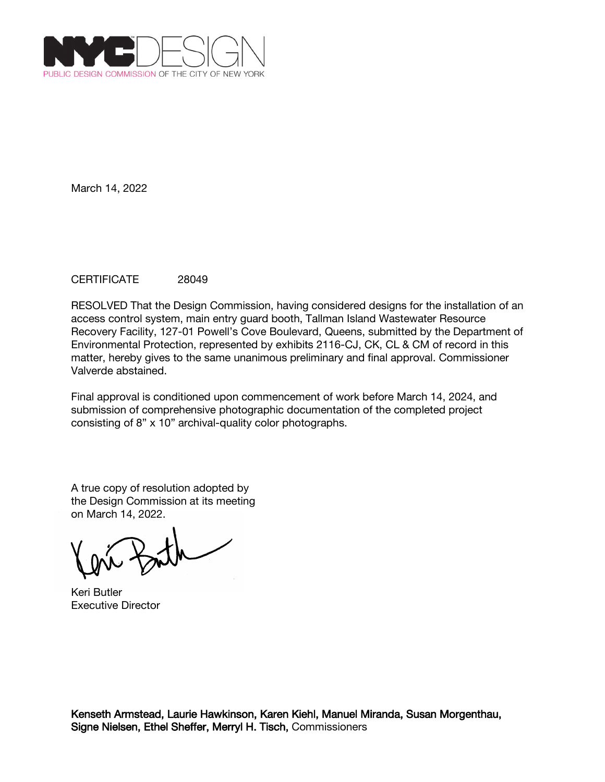

# CERTIFICATE 28049

RESOLVED That the Design Commission, having considered designs for the installation of an access control system, main entry guard booth, Tallman Island Wastewater Resource Recovery Facility, 127-01 Powell's Cove Boulevard, Queens, submitted by the Department of Environmental Protection, represented by exhibits 2116-CJ, CK, CL & CM of record in this matter, hereby gives to the same unanimous preliminary and final approval. Commissioner Valverde abstained.

Final approval is conditioned upon commencement of work before March 14, 2024, and submission of comprehensive photographic documentation of the completed project consisting of 8" x 10" archival-quality color photographs.

Keri Butler Executive Director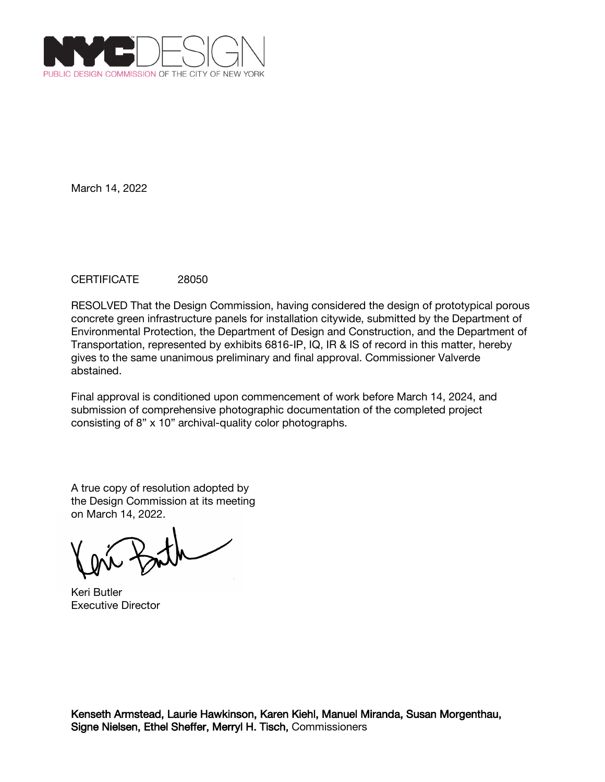

## CERTIFICATE 28050

RESOLVED That the Design Commission, having considered the design of prototypical porous concrete green infrastructure panels for installation citywide, submitted by the Department of Environmental Protection, the Department of Design and Construction, and the Department of Transportation, represented by exhibits 6816-IP, IQ, IR & IS of record in this matter, hereby gives to the same unanimous preliminary and final approval. Commissioner Valverde abstained.

Final approval is conditioned upon commencement of work before March 14, 2024, and submission of comprehensive photographic documentation of the completed project consisting of 8" x 10" archival-quality color photographs.

Keri Butler Executive Director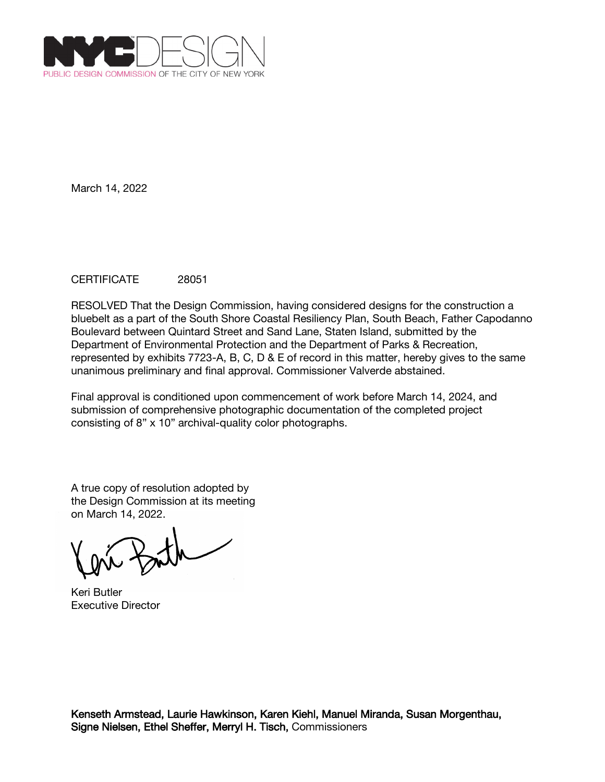

## CERTIFICATE 28051

RESOLVED That the Design Commission, having considered designs for the construction a bluebelt as a part of the South Shore Coastal Resiliency Plan, South Beach, Father Capodanno Boulevard between Quintard Street and Sand Lane, Staten Island, submitted by the Department of Environmental Protection and the Department of Parks & Recreation, represented by exhibits 7723-A, B, C, D & E of record in this matter, hereby gives to the same unanimous preliminary and final approval. Commissioner Valverde abstained.

Final approval is conditioned upon commencement of work before March 14, 2024, and submission of comprehensive photographic documentation of the completed project consisting of 8" x 10" archival-quality color photographs.

Keri Butler Executive Director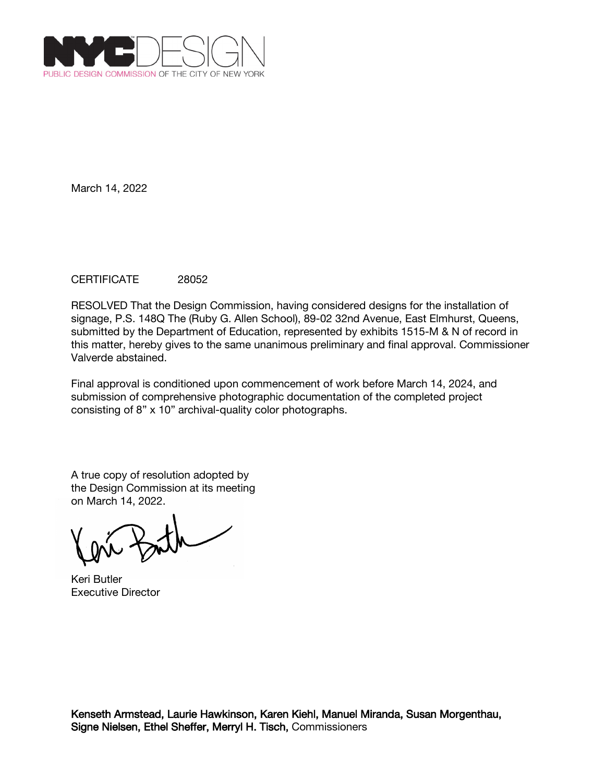

## CERTIFICATE 28052

RESOLVED That the Design Commission, having considered designs for the installation of signage, P.S. 148Q The (Ruby G. Allen School), 89-02 32nd Avenue, East Elmhurst, Queens, submitted by the Department of Education, represented by exhibits 1515-M & N of record in this matter, hereby gives to the same unanimous preliminary and final approval. Commissioner Valverde abstained.

Final approval is conditioned upon commencement of work before March 14, 2024, and submission of comprehensive photographic documentation of the completed project consisting of 8" x 10" archival-quality color photographs.

Keri Butler Executive Director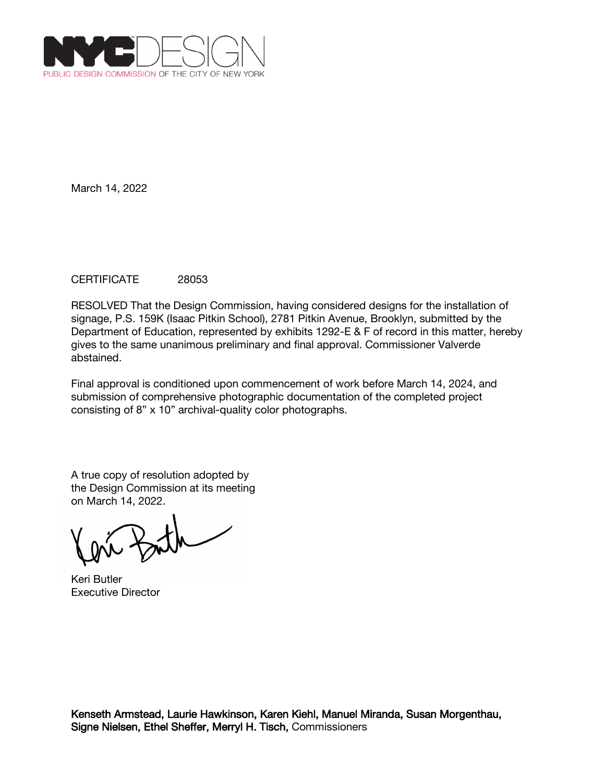

## CERTIFICATE 28053

RESOLVED That the Design Commission, having considered designs for the installation of signage, P.S. 159K (Isaac Pitkin School), 2781 Pitkin Avenue, Brooklyn, submitted by the Department of Education, represented by exhibits 1292-E & F of record in this matter, hereby gives to the same unanimous preliminary and final approval. Commissioner Valverde abstained.

Final approval is conditioned upon commencement of work before March 14, 2024, and submission of comprehensive photographic documentation of the completed project consisting of 8" x 10" archival-quality color photographs.

Keri Butler Executive Director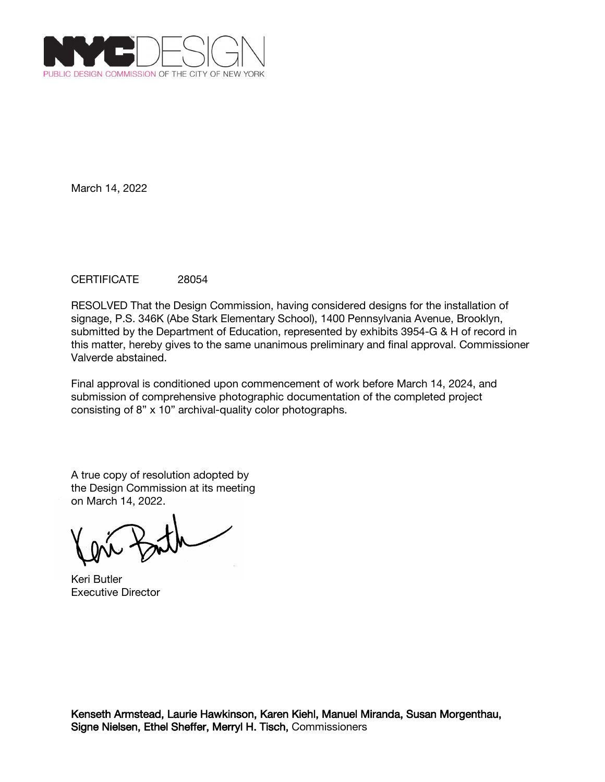

## CERTIFICATE 28054

RESOLVED That the Design Commission, having considered designs for the installation of signage, P.S. 346K (Abe Stark Elementary School), 1400 Pennsylvania Avenue, Brooklyn, submitted by the Department of Education, represented by exhibits 3954-G & H of record in this matter, hereby gives to the same unanimous preliminary and final approval. Commissioner Valverde abstained.

Final approval is conditioned upon commencement of work before March 14, 2024, and submission of comprehensive photographic documentation of the completed project consisting of 8" x 10" archival-quality color photographs.

Keri Butler Executive Director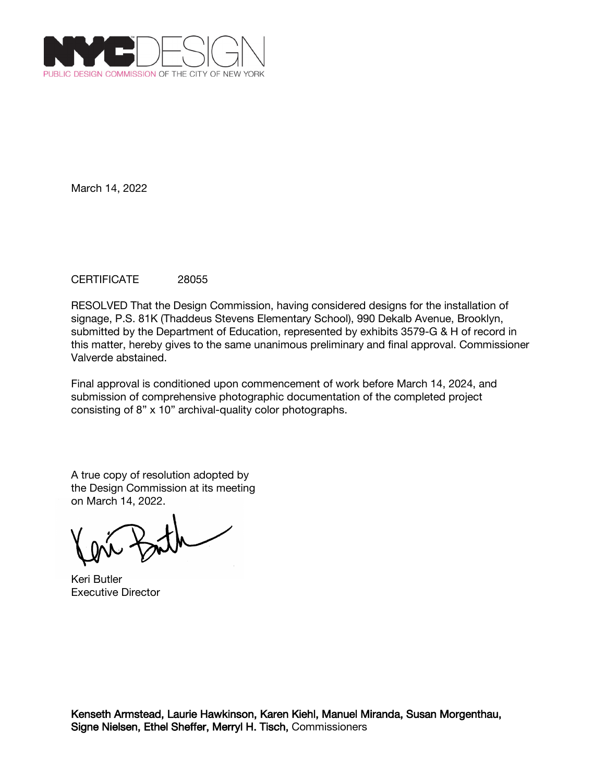

## CERTIFICATE 28055

RESOLVED That the Design Commission, having considered designs for the installation of signage, P.S. 81K (Thaddeus Stevens Elementary School), 990 Dekalb Avenue, Brooklyn, submitted by the Department of Education, represented by exhibits 3579-G & H of record in this matter, hereby gives to the same unanimous preliminary and final approval. Commissioner Valverde abstained.

Final approval is conditioned upon commencement of work before March 14, 2024, and submission of comprehensive photographic documentation of the completed project consisting of 8" x 10" archival-quality color photographs.

Keri Butler Executive Director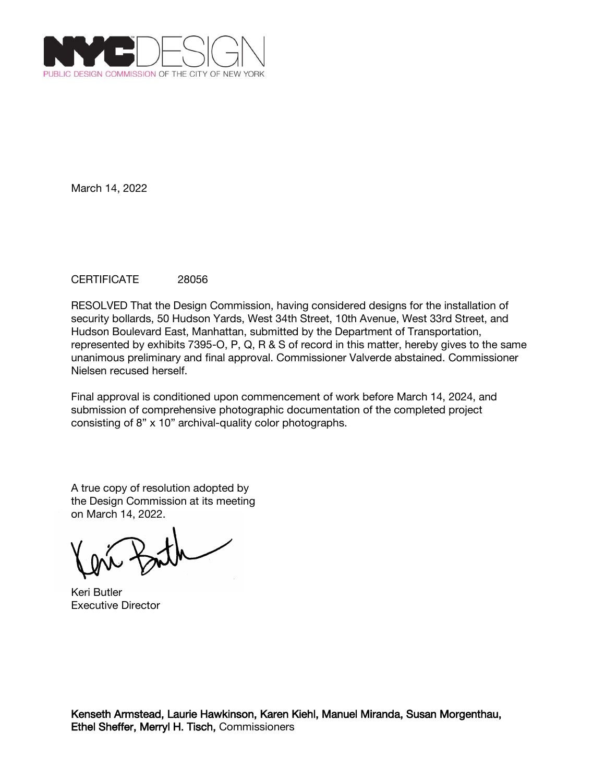

# CERTIFICATE 28056

RESOLVED That the Design Commission, having considered designs for the installation of security bollards, 50 Hudson Yards, West 34th Street, 10th Avenue, West 33rd Street, and Hudson Boulevard East, Manhattan, submitted by the Department of Transportation, represented by exhibits 7395-O, P, Q, R & S of record in this matter, hereby gives to the same unanimous preliminary and final approval. Commissioner Valverde abstained. Commissioner Nielsen recused herself.

Final approval is conditioned upon commencement of work before March 14, 2024, and submission of comprehensive photographic documentation of the completed project consisting of 8" x 10" archival-quality color photographs.

A true copy of resolution adopted by the Design Commission at its meeting on March 14, 2022.

Keri Butler Executive Director

Kenseth Armstead, Laurie Hawkinson, Karen Kiehl, Manuel Miranda, Susan Morgenthau, Ethel Sheffer, Merryl H. Tisch, Commissioners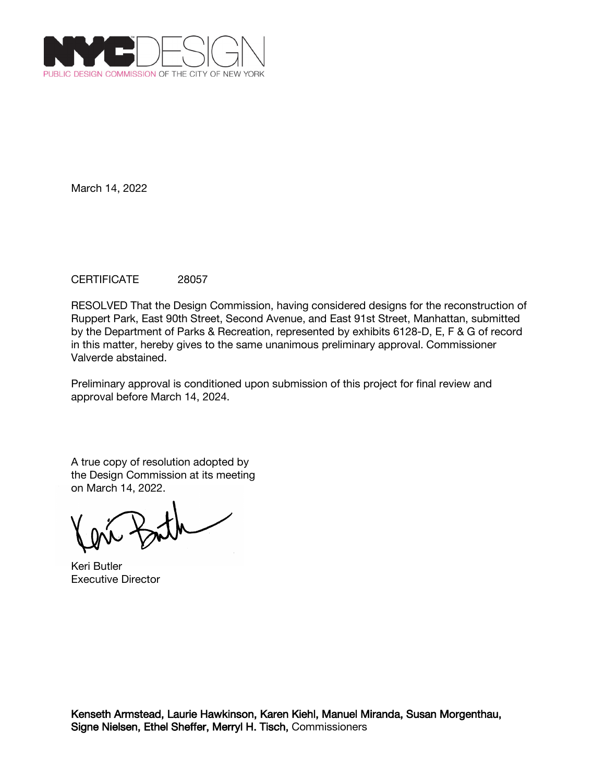

# CERTIFICATE 28057

RESOLVED That the Design Commission, having considered designs for the reconstruction of Ruppert Park, East 90th Street, Second Avenue, and East 91st Street, Manhattan, submitted by the Department of Parks & Recreation, represented by exhibits 6128-D, E, F & G of record in this matter, hereby gives to the same unanimous preliminary approval. Commissioner Valverde abstained.

Preliminary approval is conditioned upon submission of this project for final review and approval before March 14, 2024.

Keri Butler Executive Director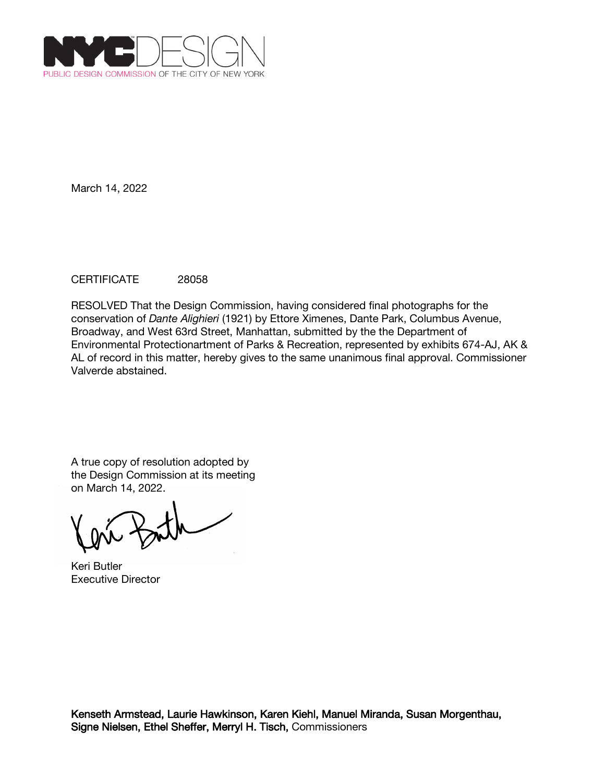

# CERTIFICATE 28058

RESOLVED That the Design Commission, having considered final photographs for the conservation of *Dante Alighieri* (1921) by Ettore Ximenes, Dante Park, Columbus Avenue, Broadway, and West 63rd Street, Manhattan, submitted by the the Department of Environmental Protectionartment of Parks & Recreation, represented by exhibits 674-AJ, AK & AL of record in this matter, hereby gives to the same unanimous final approval. Commissioner Valverde abstained.

Keri Butler Executive Director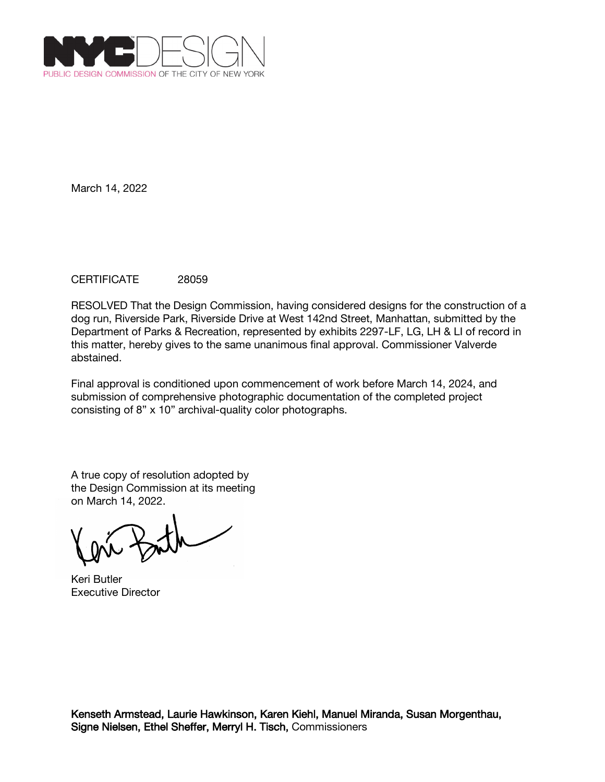

## CERTIFICATE 28059

RESOLVED That the Design Commission, having considered designs for the construction of a dog run, Riverside Park, Riverside Drive at West 142nd Street, Manhattan, submitted by the Department of Parks & Recreation, represented by exhibits 2297-LF, LG, LH & LI of record in this matter, hereby gives to the same unanimous final approval. Commissioner Valverde abstained.

Final approval is conditioned upon commencement of work before March 14, 2024, and submission of comprehensive photographic documentation of the completed project consisting of 8" x 10" archival-quality color photographs.

Keri Butler Executive Director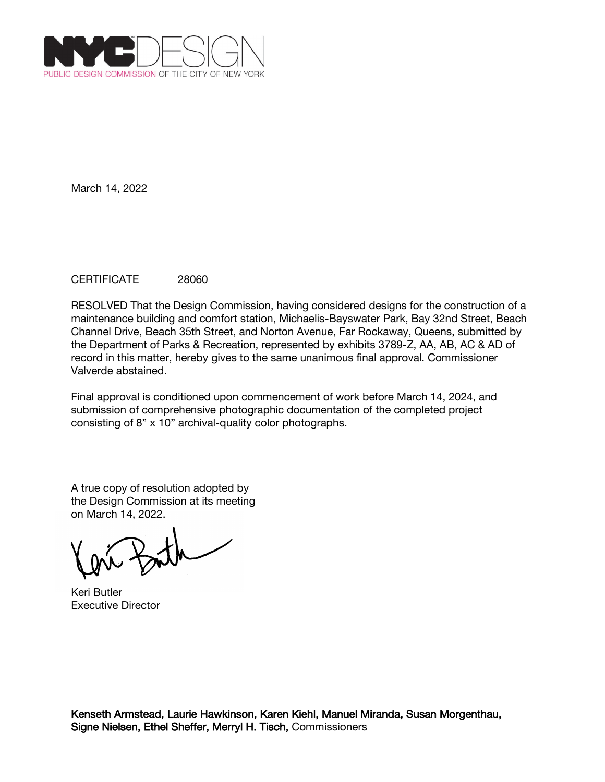

# CERTIFICATE 28060

RESOLVED That the Design Commission, having considered designs for the construction of a maintenance building and comfort station, Michaelis-Bayswater Park, Bay 32nd Street, Beach Channel Drive, Beach 35th Street, and Norton Avenue, Far Rockaway, Queens, submitted by the Department of Parks & Recreation, represented by exhibits 3789-Z, AA, AB, AC & AD of record in this matter, hereby gives to the same unanimous final approval. Commissioner Valverde abstained.

Final approval is conditioned upon commencement of work before March 14, 2024, and submission of comprehensive photographic documentation of the completed project consisting of 8" x 10" archival-quality color photographs.

Keri Butler Executive Director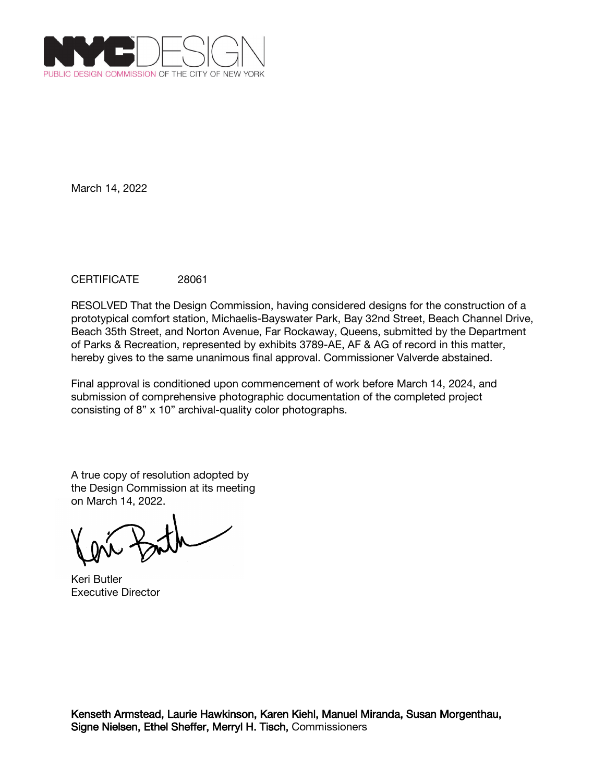

# CERTIFICATE 28061

RESOLVED That the Design Commission, having considered designs for the construction of a prototypical comfort station, Michaelis-Bayswater Park, Bay 32nd Street, Beach Channel Drive, Beach 35th Street, and Norton Avenue, Far Rockaway, Queens, submitted by the Department of Parks & Recreation, represented by exhibits 3789-AE, AF & AG of record in this matter, hereby gives to the same unanimous final approval. Commissioner Valverde abstained.

Final approval is conditioned upon commencement of work before March 14, 2024, and submission of comprehensive photographic documentation of the completed project consisting of 8" x 10" archival-quality color photographs.

Keri Butler Executive Director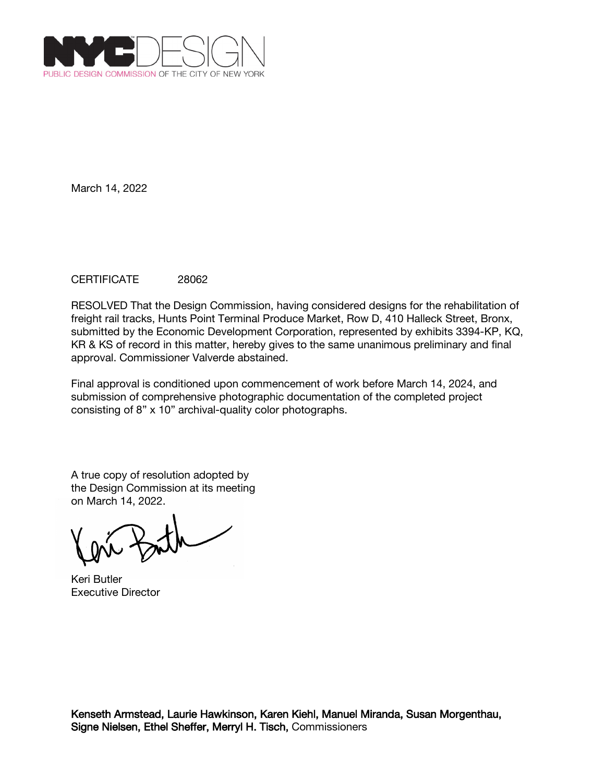

## CERTIFICATE 28062

RESOLVED That the Design Commission, having considered designs for the rehabilitation of freight rail tracks, Hunts Point Terminal Produce Market, Row D, 410 Halleck Street, Bronx, submitted by the Economic Development Corporation, represented by exhibits 3394-KP, KQ, KR & KS of record in this matter, hereby gives to the same unanimous preliminary and final approval. Commissioner Valverde abstained.

Final approval is conditioned upon commencement of work before March 14, 2024, and submission of comprehensive photographic documentation of the completed project consisting of 8" x 10" archival-quality color photographs.

Keri Butler Executive Director